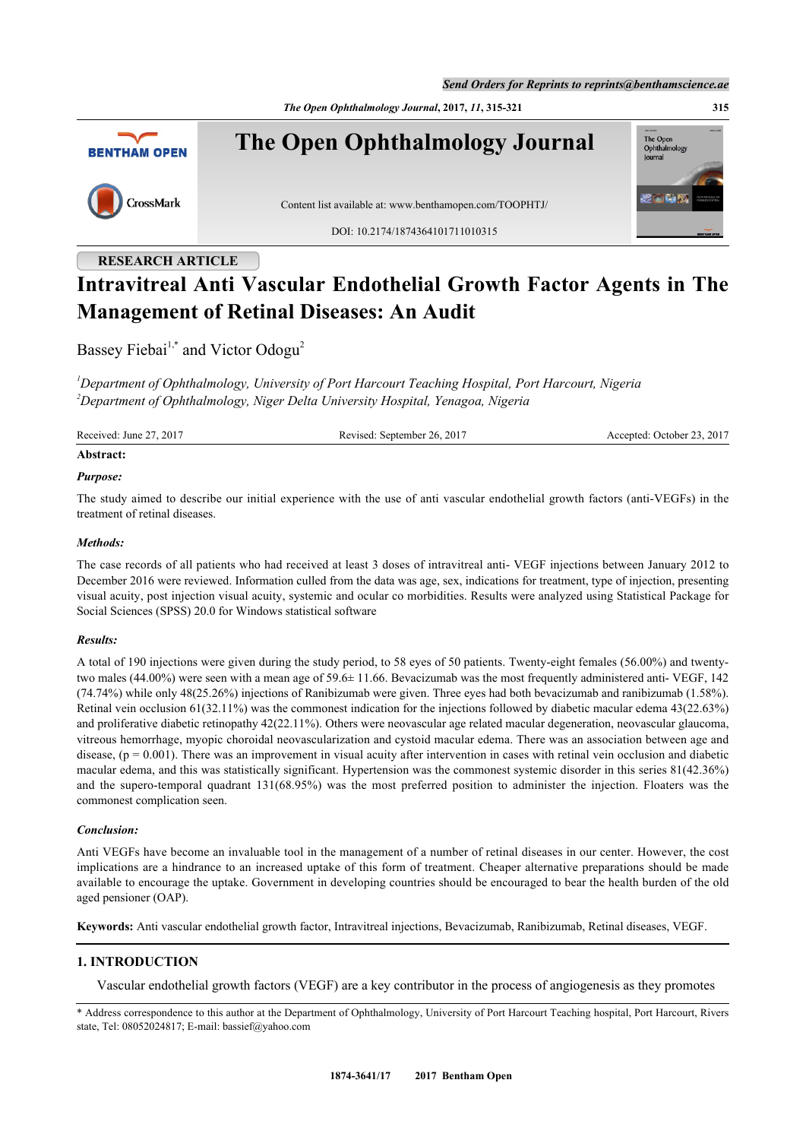*Send Orders for Reprints to reprints@benthamscience.ae*

*The Open Ophthalmology Journal***, 2017,** *11***, 315-321 315**



**The Open Ophthalmology Journal**



Content list available at: [www.benthamopen.com/TOOPHTJ/](http://www.benthamopen.com/TOOPHTJ/)

DOI: [10.2174/1874364101711010315](http://dx.doi.org/10.2174/1874364101711010315)

# The Open<br>Ophthalm lournal

## **RESEARCH ARTICLE Intravitreal Anti Vascular Endothelial Growth Factor Agents in The Management of Retinal Diseases: An Audit**

Bassey Fiebai<sup>[1,](#page-0-0)[\\*](#page-0-1)</sup> and Victor Odogu<sup>[2](#page-0-2)</sup>

<span id="page-0-2"></span><span id="page-0-0"></span>*<sup>1</sup>Department of Ophthalmology, University of Port Harcourt Teaching Hospital, Port Harcourt, Nigeria <sup>2</sup>Department of Ophthalmology, Niger Delta University Hospital, Yenagoa, Nigeria*

Received: June 27, 2017 Revised: September 26, 2017 Accepted: October 23, 2017

#### **Abstract:**

#### *Purpose:*

The study aimed to describe our initial experience with the use of anti vascular endothelial growth factors (anti-VEGFs) in the treatment of retinal diseases.

#### *Methods:*

The case records of all patients who had received at least 3 doses of intravitreal anti- VEGF injections between January 2012 to December 2016 were reviewed. Information culled from the data was age, sex, indications for treatment, type of injection, presenting visual acuity, post injection visual acuity, systemic and ocular co morbidities. Results were analyzed using Statistical Package for Social Sciences (SPSS) 20.0 for Windows statistical software

#### *Results:*

A total of 190 injections were given during the study period, to 58 eyes of 50 patients. Twenty-eight females (56.00%) and twentytwo males (44.00%) were seen with a mean age of 59.6± 11.66. Bevacizumab was the most frequently administered anti- VEGF, 142 (74.74%) while only 48(25.26%) injections of Ranibizumab were given. Three eyes had both bevacizumab and ranibizumab (1.58%). Retinal vein occlusion 61(32.11%) was the commonest indication for the injections followed by diabetic macular edema 43(22.63%) and proliferative diabetic retinopathy 42(22.11%). Others were neovascular age related macular degeneration, neovascular glaucoma, vitreous hemorrhage, myopic choroidal neovascularization and cystoid macular edema. There was an association between age and disease,  $(p = 0.001)$ . There was an improvement in visual acuity after intervention in cases with retinal vein occlusion and diabetic macular edema, and this was statistically significant. Hypertension was the commonest systemic disorder in this series 81(42.36%) and the supero-temporal quadrant 131(68.95%) was the most preferred position to administer the injection. Floaters was the commonest complication seen.

#### *Conclusion:*

Anti VEGFs have become an invaluable tool in the management of a number of retinal diseases in our center. However, the cost implications are a hindrance to an increased uptake of this form of treatment. Cheaper alternative preparations should be made available to encourage the uptake. Government in developing countries should be encouraged to bear the health burden of the old aged pensioner (OAP).

**Keywords:** Anti vascular endothelial growth factor, Intravitreal injections, Bevacizumab, Ranibizumab, Retinal diseases, VEGF.

#### **1. INTRODUCTION**

Vascular endothelial growth factors (VEGF) are a key contributor in the process of angiogenesis as they promotes

<span id="page-0-1"></span>\* Address correspondence to this author at the Department of Ophthalmology, University of Port Harcourt Teaching hospital, Port Harcourt, Rivers state, Tel: 08052024817; E-mail: [bassief@yahoo.com](mailto:bassief@yahoo.com)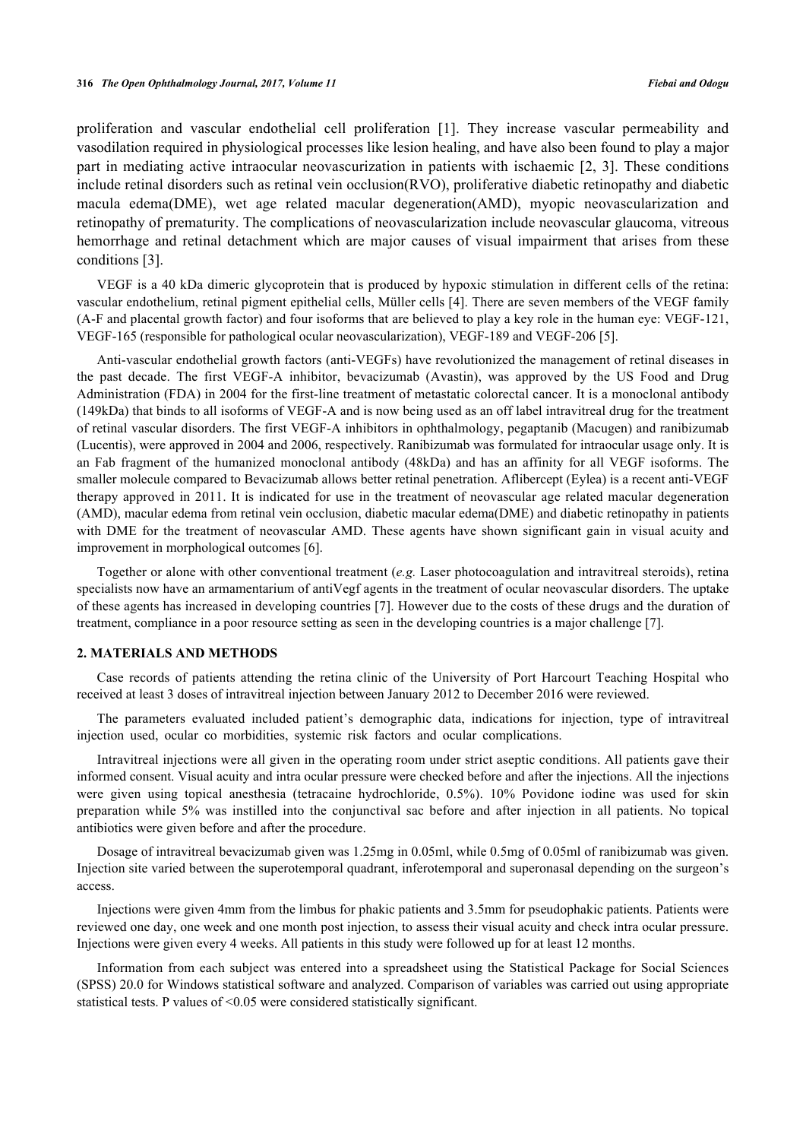proliferation and vascular endothelial cell proliferation [\[1](#page-5-0)]. They increase vascular permeability and vasodilation required in physiological processes like lesion healing, and have also been found to play a major part in mediating active intraocular neovascurization in patients with ischaemic [\[2,](#page-5-1) [3](#page-5-2)]. These conditions include retinal disorders such as retinal vein occlusion(RVO), proliferative diabetic retinopathy and diabetic macula edema(DME), wet age related macular degeneration(AMD), myopic neovascularization and retinopathy of prematurity. The complications of neovascularization include neovascular glaucoma, vitreous hemorrhage and retinal detachment which are major causes of visual impairment that arises from these conditions [[3](#page-5-2)].

VEGF is a 40 kDa dimeric glycoprotein that is produced by hypoxic stimulation in different cells of the retina: vascular endothelium, retinal pigment epithelial cells, Müller cells [[4\]](#page-5-3). There are seven members of the VEGF family (A-F and placental growth factor) and four isoforms that are believed to play a key role in the human eye: VEGF-121, VEGF-165 (responsible for pathological ocular neovascularization), VEGF-189 and VEGF-206 [\[5](#page-5-4)].

Anti-vascular endothelial growth factors (anti-VEGFs) have revolutionized the management of retinal diseases in the past decade. The first VEGF-A inhibitor, bevacizumab (Avastin), was approved by the US Food and Drug Administration (FDA) in 2004 for the first-line treatment of metastatic colorectal cancer. It is a monoclonal antibody (149kDa) that binds to all isoforms of VEGF-A and is now being used as an off label intravitreal drug for the treatment of retinal vascular disorders. The first VEGF-A inhibitors in ophthalmology, pegaptanib (Macugen) and ranibizumab (Lucentis), were approved in 2004 and 2006, respectively. Ranibizumab was formulated for intraocular usage only. It is an Fab fragment of the humanized monoclonal antibody (48kDa) and has an affinity for all VEGF isoforms. The smaller molecule compared to Bevacizumab allows better retinal penetration. Aflibercept (Eylea) is a recent anti-VEGF therapy approved in 2011. It is indicated for use in the treatment of neovascular age related macular degeneration (AMD), macular edema from retinal vein occlusion, diabetic macular edema(DME) and diabetic retinopathy in patients with DME for the treatment of neovascular AMD. These agents have shown significant gain in visual acuity and improvement in morphological outcomes [[6\]](#page-5-5).

Together or alone with other conventional treatment (*e.g.* Laser photocoagulation and intravitreal steroids), retina specialists now have an armamentarium of antiVegf agents in the treatment of ocular neovascular disorders. The uptake of these agents has increased in developing countries [\[7](#page-5-6)]. However due to the costs of these drugs and the duration of treatment, compliance in a poor resource setting as seen in the developing countries is a major challenge [[7\]](#page-5-6).

#### **2. MATERIALS AND METHODS**

Case records of patients attending the retina clinic of the University of Port Harcourt Teaching Hospital who received at least 3 doses of intravitreal injection between January 2012 to December 2016 were reviewed.

The parameters evaluated included patient's demographic data, indications for injection, type of intravitreal injection used, ocular co morbidities, systemic risk factors and ocular complications.

Intravitreal injections were all given in the operating room under strict aseptic conditions. All patients gave their informed consent. Visual acuity and intra ocular pressure were checked before and after the injections. All the injections were given using topical anesthesia (tetracaine hydrochloride, 0.5%). 10% Povidone iodine was used for skin preparation while 5% was instilled into the conjunctival sac before and after injection in all patients. No topical antibiotics were given before and after the procedure.

Dosage of intravitreal bevacizumab given was 1.25mg in 0.05ml, while 0.5mg of 0.05ml of ranibizumab was given. Injection site varied between the superotemporal quadrant, inferotemporal and superonasal depending on the surgeon's access.

Injections were given 4mm from the limbus for phakic patients and 3.5mm for pseudophakic patients. Patients were reviewed one day, one week and one month post injection, to assess their visual acuity and check intra ocular pressure. Injections were given every 4 weeks. All patients in this study were followed up for at least 12 months.

Information from each subject was entered into a spreadsheet using the Statistical Package for Social Sciences (SPSS) 20.0 for Windows statistical software and analyzed. Comparison of variables was carried out using appropriate statistical tests. P values of <0.05 were considered statistically significant.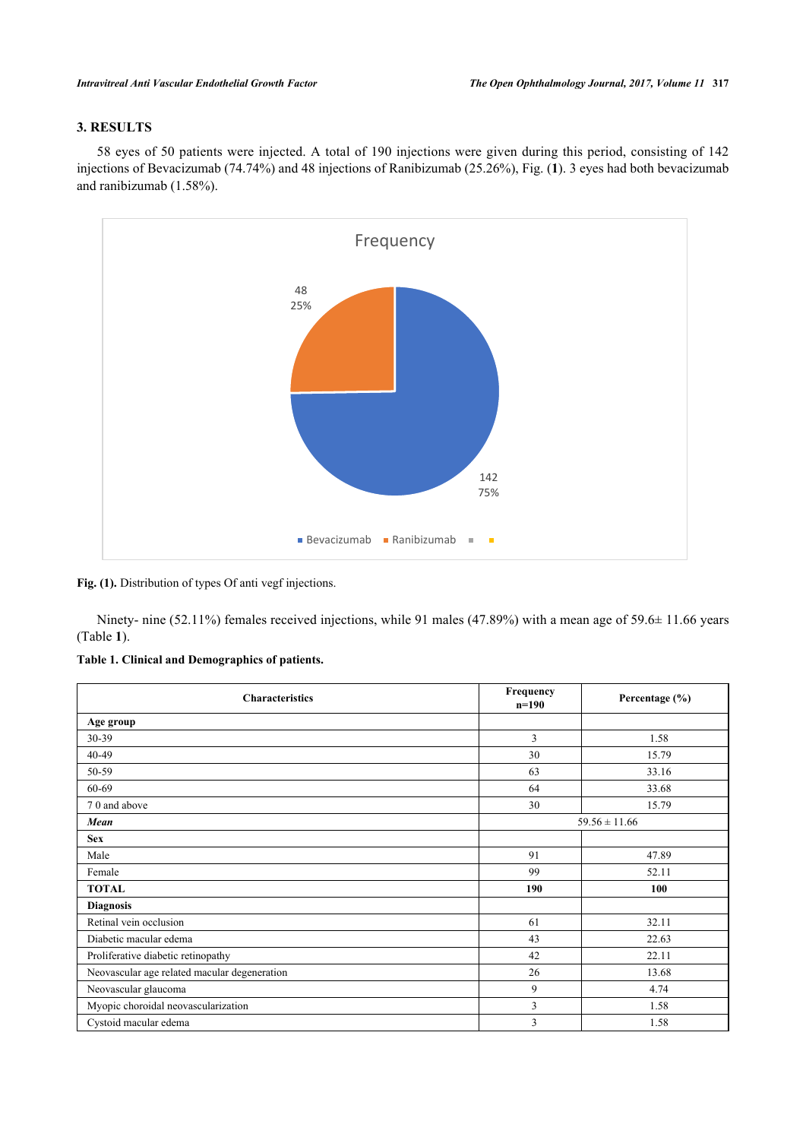### **3. RESULTS**

58 eyes of 50 patients were injected. A total of 190 injections were given during this period, consisting of 142 injections of Bevacizumab (74.74%) and 48 injections of Ranibizumab (25.26%), Fig. (**[1](#page-2-0)**). 3 eyes had both bevacizumab and ranibizumab (1.58%).

<span id="page-2-0"></span>

#### **Fig. (1).** Distribution of types Of anti vegf injections.

Ninety- nine (52.11%) females received injections, while 91 males (47.89%) with a mean age of 59.6± 11.66 years (Table **[1](#page-2-1)**).

<span id="page-2-1"></span>

| <b>Characteristics</b>                       | Frequency<br>$n=190$ | Percentage $(\% )$ |  |
|----------------------------------------------|----------------------|--------------------|--|
| Age group                                    |                      |                    |  |
| 30-39                                        | 3                    | 1.58               |  |
| $40 - 49$                                    | 30                   | 15.79              |  |
| 50-59                                        | 63                   | 33.16              |  |
| 60-69                                        | 64                   | 33.68              |  |
| 70 and above                                 | 30                   | 15.79              |  |
| Mean                                         | $59.56 \pm 11.66$    |                    |  |
| <b>Sex</b>                                   |                      |                    |  |
| Male                                         | 91                   | 47.89              |  |
| Female                                       | 99                   | 52.11              |  |
| <b>TOTAL</b>                                 | 190                  | 100                |  |
| <b>Diagnosis</b>                             |                      |                    |  |
| Retinal vein occlusion                       | 61                   | 32.11              |  |
| Diabetic macular edema                       | 43                   | 22.63              |  |
| Proliferative diabetic retinopathy           | 42                   | 22.11              |  |
| Neovascular age related macular degeneration | 26                   | 13.68              |  |
| Neovascular glaucoma                         | 9                    | 4.74               |  |
| Myopic choroidal neovascularization          | 3                    | 1.58               |  |
| Cystoid macular edema                        | 3                    | 1.58               |  |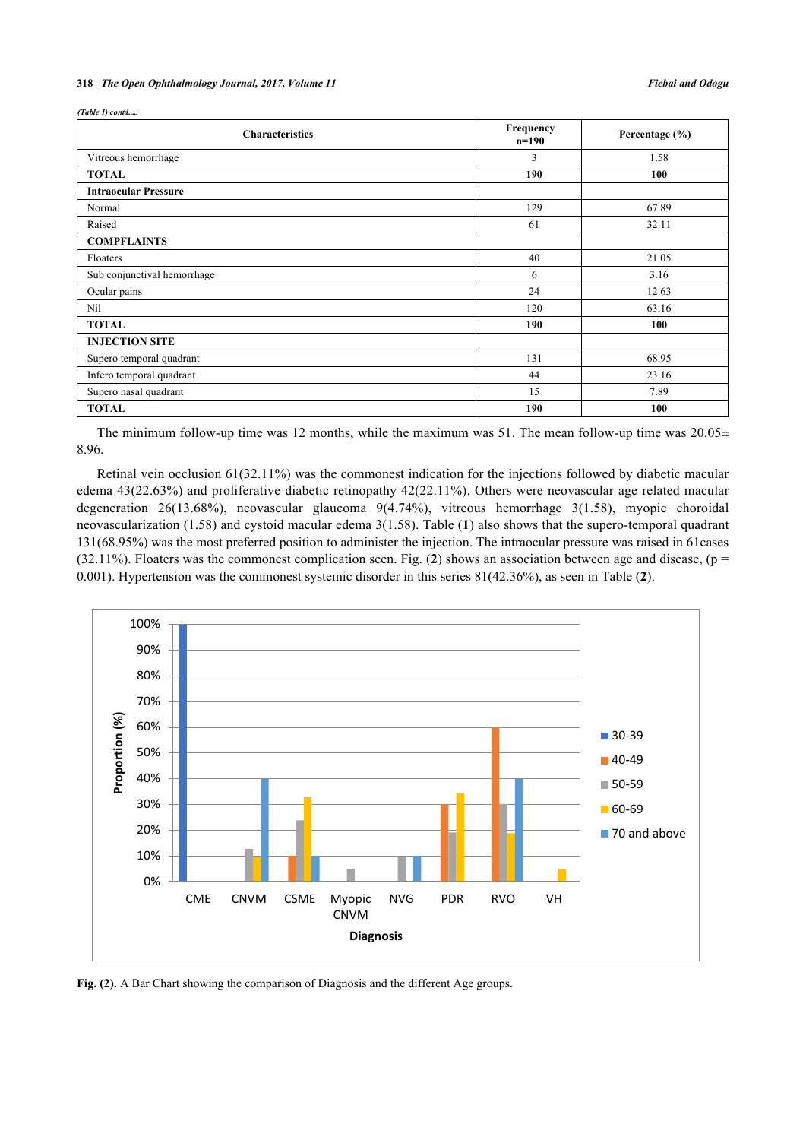*(Table 1) contd.* 

| <b>Characteristics</b>      | Frequency<br>$n=190$ | Percentage $(\% )$ |
|-----------------------------|----------------------|--------------------|
| Vitreous hemorrhage         | 3                    | 1.58               |
| <b>TOTAL</b>                | 190                  | 100                |
| <b>Intraocular Pressure</b> |                      |                    |
| Normal                      | 129                  | 67.89              |
| Raised                      | 61                   | 32.11              |
| <b>COMPFLAINTS</b>          |                      |                    |
| Floaters                    | 40                   | 21.05              |
| Sub conjunctival hemorrhage | 6                    | 3.16               |
| Ocular pains                | 24                   | 12.63              |
| Nil                         | 120                  | 63.16              |
| <b>TOTAL</b>                | 190                  | 100                |
| <b>INJECTION SITE</b>       |                      |                    |
| Supero temporal quadrant    | 131                  | 68.95              |
| Infero temporal quadrant    | 44                   | 23.16              |
| Supero nasal quadrant       | 15                   | 7.89               |
| <b>TOTAL</b>                | 190                  | 100                |

The minimum follow-up time was 12 months, while the maximum was 51. The mean follow-up time was  $20.05\pm$ 8.96.

Retinal vein occlusion 61(32.11%) was the commonest indication for the injections followed by diabetic macular edema 43(22.63%) and proliferative diabetic retinopathy 42(22.11%). Others were neovascular age related macular degeneration 26(13.68%), neovascular glaucoma 9(4.74%), vitreous hemorrhage 3(1.58), myopic choroidal neovascularization (1.58) and cystoid macular edema 3(1.58). Table (**[1](#page-2-1)**) also shows that the supero-temporal quadrant 131(68.95%) was the most preferred position to administer the injection. The intraocular pressure was raised in 61cases (3[2](#page-3-0).11%). Floaters was the commonest complication seen. Fig. (2) shows an association between age and disease,  $(p =$ 0.001). Hypertension was the commonest systemic disorder in this series 81(42.36%), as seen in Table (**[2](#page-3-1)**).

<span id="page-3-0"></span>

<span id="page-3-1"></span>**Fig. (2).** A Bar Chart showing the comparison of Diagnosis and the different Age groups.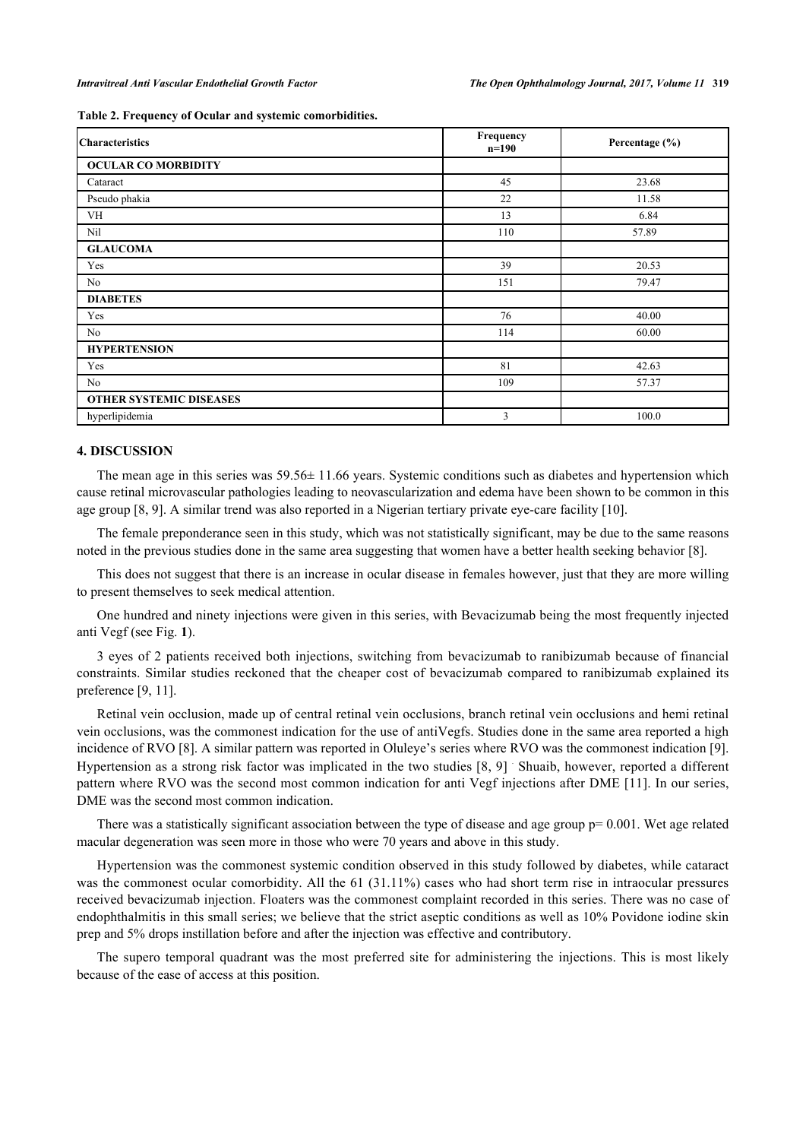|  |  |  |  |  |  | Table 2. Frequency of Ocular and systemic comorbidities. |
|--|--|--|--|--|--|----------------------------------------------------------|
|--|--|--|--|--|--|----------------------------------------------------------|

| <b>Characteristics</b>         | Frequency<br>$n=190$ | Percentage (%) |
|--------------------------------|----------------------|----------------|
| <b>OCULAR CO MORBIDITY</b>     |                      |                |
| Cataract                       | 45                   | 23.68          |
| Pseudo phakia                  | 22                   | 11.58          |
| <b>VH</b>                      | 13                   | 6.84           |
| Nil                            | 110                  | 57.89          |
| <b>GLAUCOMA</b>                |                      |                |
| Yes                            | 39                   | 20.53          |
| No                             | 151                  | 79.47          |
| <b>DIABETES</b>                |                      |                |
| Yes                            | 76                   | 40.00          |
| No                             | 114                  | 60.00          |
| <b>HYPERTENSION</b>            |                      |                |
| Yes                            | 81                   | 42.63          |
| No                             | 109                  | 57.37          |
| <b>OTHER SYSTEMIC DISEASES</b> |                      |                |
| hyperlipidemia                 | 3                    | 100.0          |

#### **4. DISCUSSION**

The mean age in this series was 59.56± 11.66 years. Systemic conditions such as diabetes and hypertension which cause retinal microvascular pathologies leading to neovascularization and edema have been shown to be common in this age group [\[8](#page-5-7), [9](#page-5-8)]. A similar trend was also reported in a Nigerian tertiary private eye-care facility [[10\]](#page-5-9).

The female preponderance seen in this study, which was not statistically significant, may be due to the same reasons noted in the previous studies done in the same area suggesting that women have a better health seeking behavior [[8\]](#page-5-7).

This does not suggest that there is an increase in ocular disease in females however, just that they are more willing to present themselves to seek medical attention.

One hundred and ninety injections were given in this series, with Bevacizumab being the most frequently injected anti Vegf (see Fig. **[1](#page-2-0)**).

3 eyes of 2 patients received both injections, switching from bevacizumab to ranibizumab because of financial constraints. Similar studies reckoned that the cheaper cost of bevacizumab compared to ranibizumab explained its preference [[9,](#page-5-8) [11\]](#page-6-0).

Retinal vein occlusion, made up of central retinal vein occlusions, branch retinal vein occlusions and hemi retinal vein occlusions, was the commonest indication for the use of antiVegfs. Studies done in the same area reported a high incidence of RVO [\[8](#page-5-7)]. A similar pattern was reported in Oluleye's series where RVO was the commonest indication [[9\]](#page-5-8). Hypertension as a strong risk factor was implicated in the two studies [[8,](#page-5-7) [9\]](#page-5-8) . Shuaib, however, reported a different pattern where RVO was the second most common indication for anti Vegf injections after DME [[11\]](#page-6-0). In our series, DME was the second most common indication.

There was a statistically significant association between the type of disease and age group  $p=0.001$ . Wet age related macular degeneration was seen more in those who were 70 years and above in this study.

Hypertension was the commonest systemic condition observed in this study followed by diabetes, while cataract was the commonest ocular comorbidity. All the 61 (31.11%) cases who had short term rise in intraocular pressures received bevacizumab injection. Floaters was the commonest complaint recorded in this series. There was no case of endophthalmitis in this small series; we believe that the strict aseptic conditions as well as 10% Povidone iodine skin prep and 5% drops instillation before and after the injection was effective and contributory.

The supero temporal quadrant was the most preferred site for administering the injections. This is most likely because of the ease of access at this position.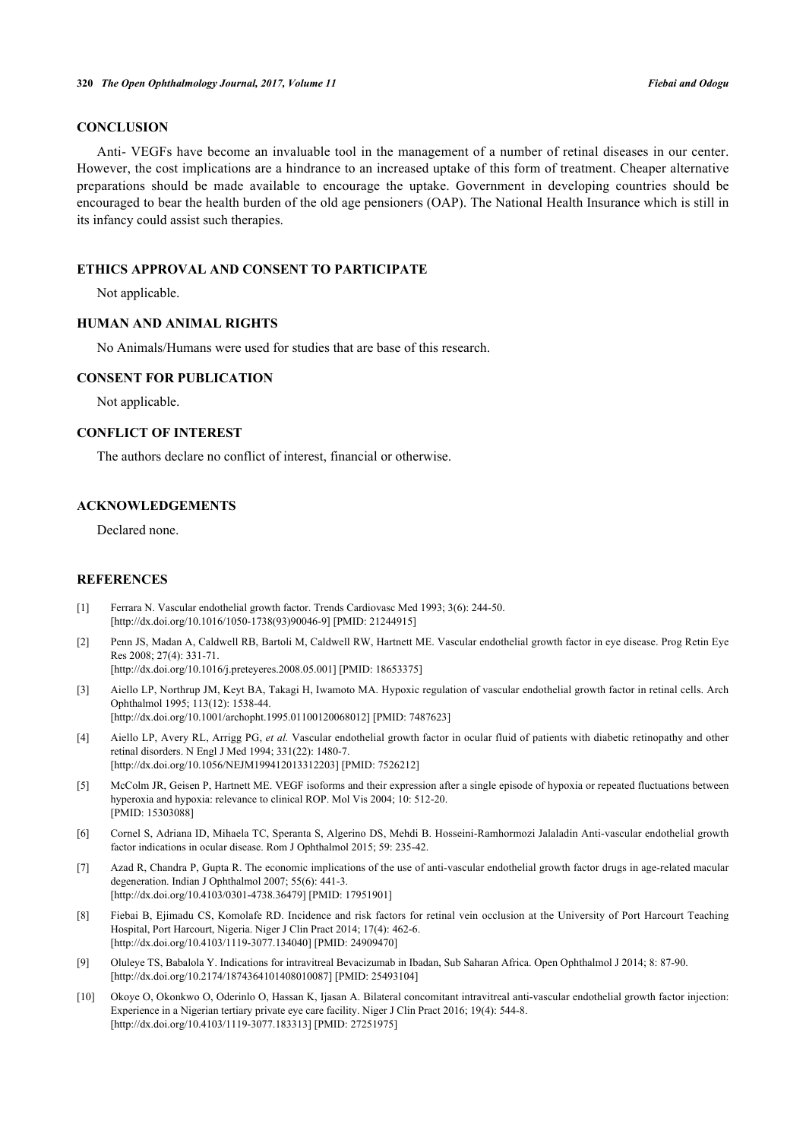#### **CONCLUSION**

Anti- VEGFs have become an invaluable tool in the management of a number of retinal diseases in our center. However, the cost implications are a hindrance to an increased uptake of this form of treatment. Cheaper alternative preparations should be made available to encourage the uptake. Government in developing countries should be encouraged to bear the health burden of the old age pensioners (OAP). The National Health Insurance which is still in its infancy could assist such therapies.

#### **ETHICS APPROVAL AND CONSENT TO PARTICIPATE**

Not applicable.

#### **HUMAN AND ANIMAL RIGHTS**

No Animals/Humans were used for studies that are base of this research.

#### **CONSENT FOR PUBLICATION**

Not applicable.

#### **CONFLICT OF INTEREST**

The authors declare no conflict of interest, financial or otherwise.

#### **ACKNOWLEDGEMENTS**

Declared none.

#### **REFERENCES**

- <span id="page-5-0"></span>[1] Ferrara N. Vascular endothelial growth factor. Trends Cardiovasc Med 1993; 3(6): 244-50. [\[http://dx.doi.org/10.1016/1050-1738\(93\)90046-9](http://dx.doi.org/10.1016/1050-1738(93)90046-9)] [PMID: [21244915](http://www.ncbi.nlm.nih.gov/pubmed/21244915)]
- <span id="page-5-1"></span>[2] Penn JS, Madan A, Caldwell RB, Bartoli M, Caldwell RW, Hartnett ME. Vascular endothelial growth factor in eye disease. Prog Retin Eye Res 2008; 27(4): 331-71.

[\[http://dx.doi.org/10.1016/j.preteyeres.2008.05.001\]](http://dx.doi.org/10.1016/j.preteyeres.2008.05.001) [PMID: [18653375](http://www.ncbi.nlm.nih.gov/pubmed/18653375)]

- <span id="page-5-2"></span>[3] Aiello LP, Northrup JM, Keyt BA, Takagi H, Iwamoto MA. Hypoxic regulation of vascular endothelial growth factor in retinal cells. Arch Ophthalmol 1995; 113(12): 1538-44. [\[http://dx.doi.org/10.1001/archopht.1995.01100120068012\]](http://dx.doi.org/10.1001/archopht.1995.01100120068012) [PMID: [7487623](http://www.ncbi.nlm.nih.gov/pubmed/7487623)]
- <span id="page-5-3"></span>[4] Aiello LP, Avery RL, Arrigg PG, *et al.* Vascular endothelial growth factor in ocular fluid of patients with diabetic retinopathy and other retinal disorders. N Engl J Med 1994; 331(22): 1480-7. [\[http://dx.doi.org/10.1056/NEJM199412013312203\]](http://dx.doi.org/10.1056/NEJM199412013312203) [PMID: [7526212](http://www.ncbi.nlm.nih.gov/pubmed/7526212)]
- <span id="page-5-4"></span>[5] McColm JR, Geisen P, Hartnett ME. VEGF isoforms and their expression after a single episode of hypoxia or repeated fluctuations between hyperoxia and hypoxia: relevance to clinical ROP. Mol Vis 2004; 10: 512-20. [PMID: [15303088\]](http://www.ncbi.nlm.nih.gov/pubmed/15303088)
- <span id="page-5-5"></span>[6] Cornel S, Adriana ID, Mihaela TC, Speranta S, Algerino DS, Mehdi B. Hosseini-Ramhormozi Jalaladin Anti-vascular endothelial growth factor indications in ocular disease. Rom J Ophthalmol 2015; 59: 235-42.
- <span id="page-5-6"></span>[7] Azad R, Chandra P, Gupta R. The economic implications of the use of anti-vascular endothelial growth factor drugs in age-related macular degeneration. Indian J Ophthalmol 2007; 55(6): 441-3. [\[http://dx.doi.org/10.4103/0301-4738.36479](http://dx.doi.org/10.4103/0301-4738.36479)] [PMID: [17951901](http://www.ncbi.nlm.nih.gov/pubmed/17951901)]
- <span id="page-5-7"></span>[8] Fiebai B, Ejimadu CS, Komolafe RD. Incidence and risk factors for retinal vein occlusion at the University of Port Harcourt Teaching Hospital, Port Harcourt, Nigeria. Niger J Clin Pract 2014; 17(4): 462-6. [\[http://dx.doi.org/10.4103/1119-3077.134040](http://dx.doi.org/10.4103/1119-3077.134040)] [PMID: [24909470](http://www.ncbi.nlm.nih.gov/pubmed/24909470)]
- <span id="page-5-8"></span>[9] Oluleye TS, Babalola Y. Indications for intravitreal Bevacizumab in Ibadan, Sub Saharan Africa. Open Ophthalmol J 2014; 8: 87-90. [\[http://dx.doi.org/10.2174/1874364101408010087\]](http://dx.doi.org/10.2174/1874364101408010087) [PMID: [25493104](http://www.ncbi.nlm.nih.gov/pubmed/25493104)]
- <span id="page-5-9"></span>[10] Okoye O, Okonkwo O, Oderinlo O, Hassan K, Ijasan A. Bilateral concomitant intravitreal anti-vascular endothelial growth factor injection: Experience in a Nigerian tertiary private eye care facility. Niger J Clin Pract 2016; 19(4): 544-8. [\[http://dx.doi.org/10.4103/1119-3077.183313](http://dx.doi.org/10.4103/1119-3077.183313)] [PMID: [27251975](http://www.ncbi.nlm.nih.gov/pubmed/27251975)]